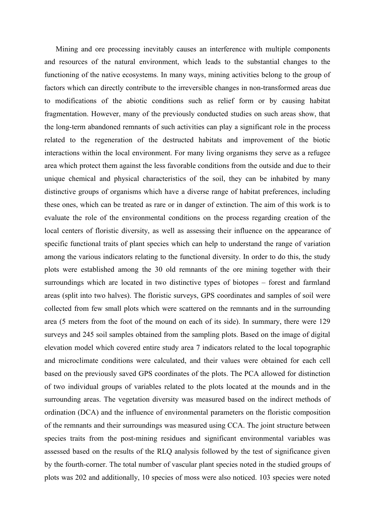Mining and ore processing inevitably causes an interference with multiple components and resources of the natural environment, which leads to the substantial changes to the functioning of the native ecosystems. In many ways, mining activities belong to the group of factors which can directly contribute to the irreversible changes in non-transformed areas due to modifications of the abiotic conditions such as relief form or by causing habitat fragmentation. However, many of the previously conducted studies on such areas show, that the long-term abandoned remnants of such activities can play a significant role in the process related to the regeneration of the destructed habitats and improvement of the biotic interactions within the local environment. For many living organisms they serve as a refugee area which protect them against the less favorable conditions from the outside and due to their unique chemical and physical characteristics of the soil, they can be inhabited by many distinctive groups of organisms which have a diverse range of habitat preferences, including these ones, which can be treated as rare or in danger of extinction. The aim of this work is to evaluate the role of the environmental conditions on the process regarding creation of the local centers of floristic diversity, as well as assessing their influence on the appearance of specific functional traits of plant species which can help to understand the range of variation among the various indicators relating to the functional diversity. In order to do this, the study plots were established among the 30 old remnants of the ore mining together with their surroundings which are located in two distinctive types of biotopes – forest and farmland areas (split into two halves). The floristic surveys, GPS coordinates and samples of soil were collected from few small plots which were scattered on the remnants and in the surrounding area (5 meters from the foot of the mound on each of its side). In summary, there were 129 surveys and 245 soil samples obtained from the sampling plots. Based on the image of digital elevation model which covered entire study area 7 indicators related to the local topographic and microclimate conditions were calculated, and their values were obtained for each cell based on the previously saved GPS coordinates of the plots. The PCA allowed for distinction of two individual groups of variables related to the plots located at the mounds and in the surrounding areas. The vegetation diversity was measured based on the indirect methods of ordination (DCA) and the influence of environmental parameters on the floristic composition of the remnants and their surroundings was measured using CCA. The joint structure between species traits from the post-mining residues and significant environmental variables was assessed based on the results of the RLQ analysis followed by the test of significance given by the fourth-corner. The total number of vascular plant species noted in the studied groups of plots was 202 and additionally, 10 species of moss were also noticed. 103 species were noted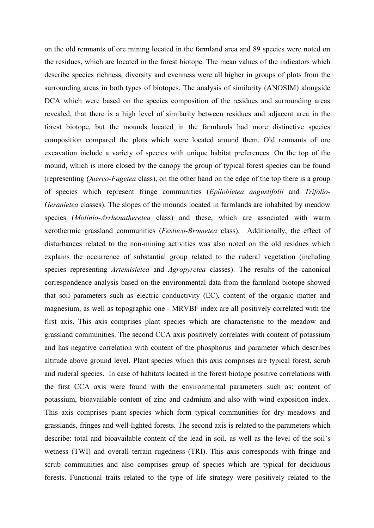on the old remnants of ore mining located in the farmland area and 89 species were noted on the residues, which are located in the forest biotope. The mean values of the indicators which describe species richness, diversity and evenness were all higher in groups of plots from the surrounding areas in both types of biotopes. The analysis of similarity (ANOSIM) alongside DCA which were based on the species composition of the residues and surrounding areas revealed, that there is a high level of similarity between residues and adjacent area in the forest biotope, but the mounds located in the farmlands had more distinctive species composition compared the plots which were located around them. Old remnants of ore excavation include a variety of species with unique habitat preferences. On the top of the mound, which is more closed by the canopy the group of typical forest species can be found (representing *Querco-Fagetea* class), on the other hand on the edge of the top there is a group of species which represent fringe communities (*Epilobietea angustifolii* and *Trifolio- Geranietea* classes). The slopes of the mounds located in farmlands are inhabited by meadow species (*Molinio-Arrhenatheretea* class) and these, which are associated with warm xerothermic grassland communities (*Festuco-Brometea* class). Additionally, the effect of disturbances related to the non-mining activities was also noted on the old residues which explains the occurrence of substantial group related to the ruderal vegetation (including species representing *Artemisietea* and *Agropyretea* classes). The results of the canonical correspondence analysis based on the environmental data from the farmland biotope showed that soil parameters such as electric conductivity (EC), content of the organic matter and magnesium, as well as topographic one - MRVBF index are all positively correlated with the first axis. This axis comprises plant species which are characteristic to the meadow and grassland communities. The second CCA axis positively correlates with content of potassium and has negative correlation with content of the phosphorus and parameter which describes altitude above ground level. Plant species which this axis comprises are typical forest, scrub and ruderal species. In case of habitats located in the forest biotope positive correlations with the first CCA axis were found with the environmental parameters such as: content of potassium, bioavailable content of zinc and cadmium and also with wind exposition index. This axis comprises plant species which form typical communities for dry meadows and grasslands, fringes and well-lighted forests. The second axis is related to the parameters which describe: total and bioavailable content of the lead in soil, as wellas the level of the soil's wetness (TWI) and overall terrain rugedness (TRI). This axis corresponds with fringe and scrub communities and also comprises group of species which are typical for deciduous forests. Functional traits related to the type of life strategy were positively related to the